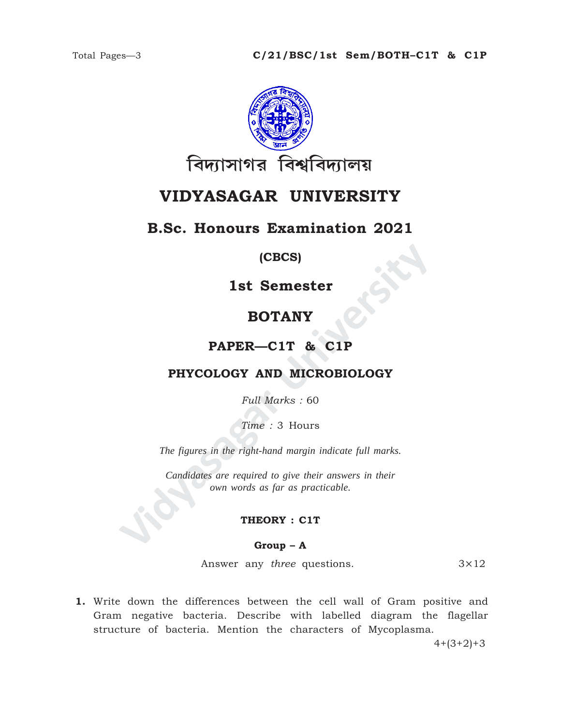

# **VIDYASAGAR UNIVERSITY**

## **B.Sc. Honours Examination 2021**

### **(CBCS)**

**1st Semester**

## **BOTANY**

### **PAPER—C1T & C1P**

### **PHYCOLOGY AND MICROBIOLOGY**

*Full Marks :* 60

*Time :* 3 Hours

*The figures in the right-hand margin indicate full marks.*

**IST SEMESTER<br>
BOTANY<br>
PAPER—C1T & C1P<br>
PHYCOLOGY AND MICROBIOLOGY<br>
Full Marks : 60<br>
Time : 3 Hours<br>
The figures in the right-hand margin indicate full marks.<br>
Candidates are required to give their answers in their<br>
cover** *Candidates are required to give their answers in their own words as far as practicable.*

#### **THEORY : C1T**

#### **Group – A**

Answer any *three* questions. 3×12

**1.** Write down the differences between the cell wall of Gram positive and Gram negative bacteria. Describe with labelled diagram the flagellar structure of bacteria. Mention the characters of Mycoplasma.

 $4+(3+2)+3$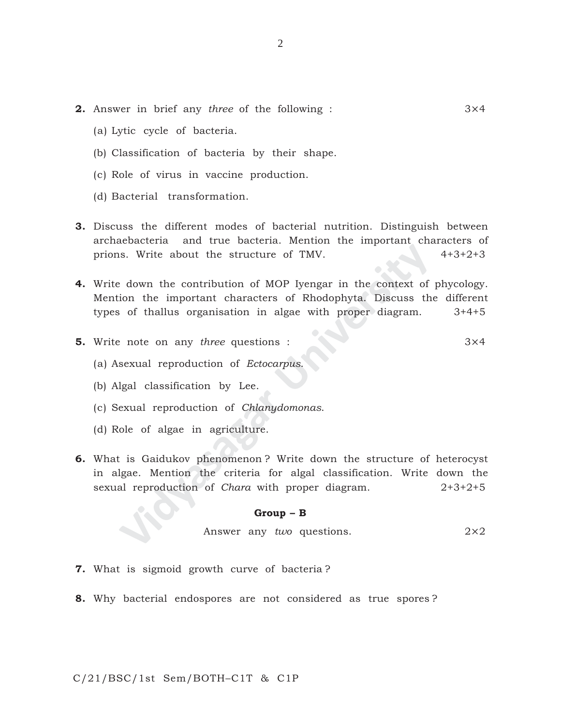- **2.** Answer in brief any *three* of the following : 3×4
	- (a) Lytic cycle of bacteria.
	- (b) Classification of bacteria by their shape.
	- (c) Role of virus in vaccine production.
	- (d) Bacterial transformation.
- **3.** Discuss the different modes of bacterial nutrition. Distinguish between archaebacteria and true bacteria. Mention the important characters of prions. Write about the structure of TMV. 4+3+2+3
- **EXECUTE:** Write about the structure of TMV.<br> **EXECUTE:** About the contribution of MOP Iyengar in the context of<br>
ion the important characters of Rhodophyta. Discuss the<br>
ion the important characters of Rhodophyta. Discuss **4.** Write down the contribution of MOP Iyengar in the context of phycology. Mention the important characters of Rhodophyta. Discuss the different types of thallus organisation in algae with proper diagram. 3+4+5
- **5.** Write note on any *three* questions : 3×4
	- (a) Asexual reproduction of *Ectocarpus*.
	- (b) Algal classification by Lee.
	- (c) Sexual reproduction of *Chlanydomonas*.
	- (d) Role of algae in agriculture.
- **6.** What is Gaidukov phenomenon ? Write down the structure of heterocyst in algae. Mention the criteria for algal classification. Write down the sexual reproduction of *Chara* with proper diagram. 2+3+2+5

#### **Group – B**

Answer any *two* questions. 2×2

- **7.** What is sigmoid growth curve of bacteria ?
- **8.** Why bacterial endospores are not considered as true spores ?